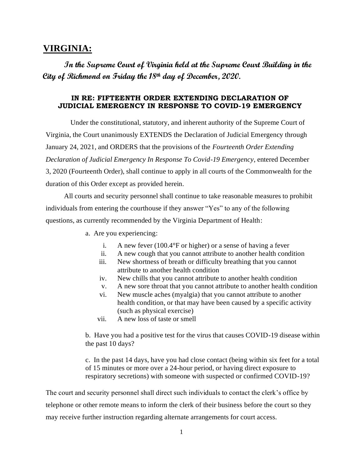## **VIRGINIA:**

**In the Supreme Court of Virginia held at the Supreme Court Building in the City of Richmond on Friday the 18th day of December, 2020.** 

## **IN RE: FIFTEENTH ORDER EXTENDING DECLARATION OF JUDICIAL EMERGENCY IN RESPONSE TO COVID-19 EMERGENCY**

 Under the constitutional, statutory, and inherent authority of the Supreme Court of Virginia, the Court unanimously EXTENDS the Declaration of Judicial Emergency through January 24, 2021, and ORDERS that the provisions of the *Fourteenth Order Extending Declaration of Judicial Emergency In Response To Covid-19 Emergency*, entered December 3, 2020 (Fourteenth Order), shall continue to apply in all courts of the Commonwealth for the duration of this Order except as provided herein.

All courts and security personnel shall continue to take reasonable measures to prohibit individuals from entering the courthouse if they answer "Yes" to any of the following questions, as currently recommended by the Virginia Department of Health:

a. Are you experiencing:

- i. A new fever (100.4°F or higher) or a sense of having a fever
- ii. A new cough that you cannot attribute to another health condition
- iii. New shortness of breath or difficulty breathing that you cannot attribute to another health condition
- iv. New chills that you cannot attribute to another health condition
- v. A new sore throat that you cannot attribute to another health condition
- vi. New muscle aches (myalgia) that you cannot attribute to another health condition, or that may have been caused by a specific activity (such as physical exercise)
- vii. A new loss of taste or smell

b. Have you had a positive test for the virus that causes COVID-19 disease within the past 10 days?

c. In the past 14 days, have you had close contact (being within six feet for a total of 15 minutes or more over a 24-hour period, or having direct exposure to respiratory secretions) with someone with suspected or confirmed COVID-19?

The court and security personnel shall direct such individuals to contact the clerk's office by telephone or other remote means to inform the clerk of their business before the court so they may receive further instruction regarding alternate arrangements for court access.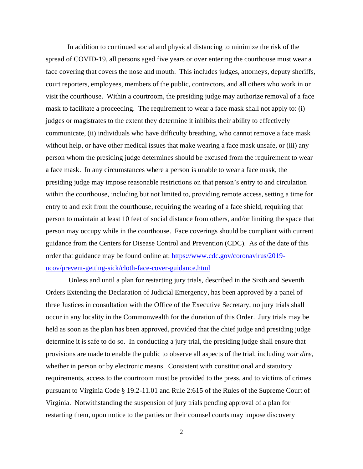In addition to continued social and physical distancing to minimize the risk of the spread of COVID-19, all persons aged five years or over entering the courthouse must wear a face covering that covers the nose and mouth. This includes judges, attorneys, deputy sheriffs, court reporters, employees, members of the public, contractors, and all others who work in or visit the courthouse. Within a courtroom, the presiding judge may authorize removal of a face mask to facilitate a proceeding. The requirement to wear a face mask shall not apply to: (i) judges or magistrates to the extent they determine it inhibits their ability to effectively communicate, (ii) individuals who have difficulty breathing, who cannot remove a face mask without help, or have other medical issues that make wearing a face mask unsafe, or (iii) any person whom the presiding judge determines should be excused from the requirement to wear a face mask. In any circumstances where a person is unable to wear a face mask, the presiding judge may impose reasonable restrictions on that person's entry to and circulation within the courthouse, including but not limited to, providing remote access, setting a time for entry to and exit from the courthouse, requiring the wearing of a face shield, requiring that person to maintain at least 10 feet of social distance from others, and/or limiting the space that person may occupy while in the courthouse. Face coverings should be compliant with current guidance from the Centers for Disease Control and Prevention (CDC). As of the date of this order that guidance may be found online at: [https://www.cdc.gov/coronavirus/2019](https://www.cdc.gov/coronavirus/2019-ncov/prevent-getting-sick/cloth-face-cover-guidance.html) [ncov/prevent-getting-sick/cloth-face-cover-guidance.html](https://www.cdc.gov/coronavirus/2019-ncov/prevent-getting-sick/cloth-face-cover-guidance.html)

 Unless and until a plan for restarting jury trials, described in the Sixth and Seventh Orders Extending the Declaration of Judicial Emergency, has been approved by a panel of three Justices in consultation with the Office of the Executive Secretary, no jury trials shall occur in any locality in the Commonwealth for the duration of this Order. Jury trials may be held as soon as the plan has been approved, provided that the chief judge and presiding judge determine it is safe to do so. In conducting a jury trial, the presiding judge shall ensure that provisions are made to enable the public to observe all aspects of the trial, including *voir dire*, whether in person or by electronic means. Consistent with constitutional and statutory requirements, access to the courtroom must be provided to the press, and to victims of crimes pursuant to Virginia Code § 19.2-11.01 and Rule 2:615 of the Rules of the Supreme Court of Virginia. Notwithstanding the suspension of jury trials pending approval of a plan for restarting them, upon notice to the parties or their counsel courts may impose discovery